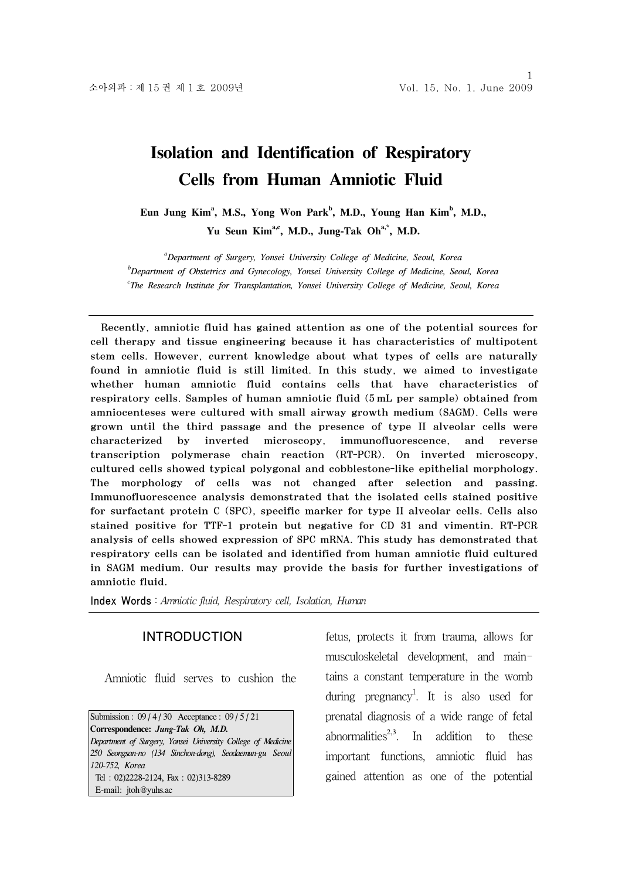# **Isolation and Identification of Respiratory Cells from Human Amniotic Fluid**

Eun Jung Kim<sup>a</sup>, M.S., Yong Won Park<sup>b</sup>, M.D., Young Han Kim<sup>b</sup>, M.D., Yu Seun Kim<sup>a,c</sup>, M.D., Jung-Tak Oh<sup>a,\*</sup>, M.D.

*a Department of Surgery, Yonsei University College of Medicine, Seoul, Korea b Department of Obstetrics and Gynecology, Yonsei University College of Medicine, Seoul, Korea c The Research Institute for Transplantation, Yonsei University College of Medicine, Seoul, Korea* 

Recently, amniotic fluid has gained attention as one of the potential sources for cell therapy and tissue engineering because it has characteristics of multipotent stem cells. However, current knowledge about what types of cells are naturally found in amniotic fluid is still limited. In this study, we aimed to investigate whether human amniotic fluid contains cells that have characteristics of respiratory cells. Samples of human amniotic fluid (5 mL per sample) obtained from amniocenteses were cultured with small airway growth medium (SAGM). Cells were grown until the third passage and the presence of type II alveolar cells were characterized by inverted microscopy, immunofluorescence, and reverse transcription polymerase chain reaction (RT-PCR). On inverted microscopy, cultured cells showed typical polygonal and cobblestone-like epithelial morphology. The morphology of cells was not changed after selection and passing. Immunofluorescence analysis demonstrated that the isolated cells stained positive for surfactant protein C (SPC), specific marker for type II alveolar cells. Cells also stained positive for TTF-1 protein but negative for CD 31 and vimentin. RT-PCR analysis of cells showed expression of SPC mRNA. This study has demonstrated that respiratory cells can be isolated and identified from human amniotic fluid cultured in SAGM medium. Our results may provide the basis for further investigations of amniotic fluid.

Index Words: Amniotic fluid, Respiratory cell, Isolation, Human

## INTRODUCTION

Amniotic fluid serves to cushion the

Submission : 09/4/30 Acceptance : 09/5/21 **Correspondence:** *Jung-Tak Oh, M.D. Department of Surgery, Yonsei University College of Medicine 250 Seongsan-no (134 Sinchon-dong), Seodaemun-gu Seoul 120-752, Korea* Tel : 02)2228-2124, Fax : 02)313-8289 E-mail: jtoh@yuhs.ac

fetus, protects it from trauma, allows for musculoskeletal development, and maintains a constant temperature in the womb during pregnancy<sup>1</sup>. It is also used for prenatal diagnosis of a wide range of fetal abnormalities<sup> $2,3$ </sup>. In addition to these important functions, amniotic fluid has gained attention as one of the potential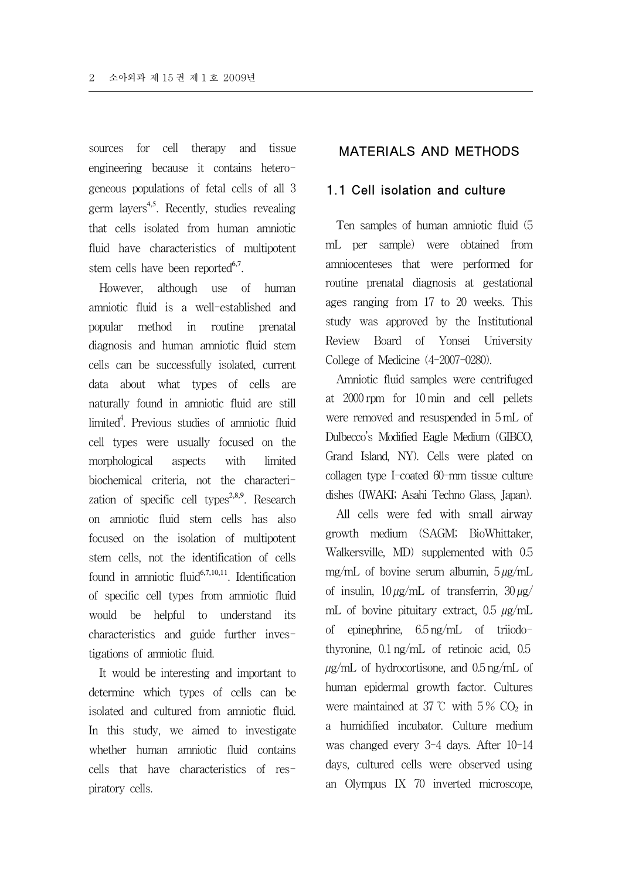sources for cell therapy and tissue engineering because it contains heterogeneous populations of fetal cells of all 3 germ layers<sup>4,5</sup>. Recently, studies revealing that cells isolated from human amniotic fluid have characteristics of multipotent stem cells have been reported $6,7$ .

However, although use of human amniotic fluid is a well-established and popular method in routine prenatal diagnosis and human amniotic fluid stem cells can be successfully isolated, current data about what types of cells are naturally found in amniotic fluid are still limited<sup>4</sup>. Previous studies of amniotic fluid cell types were usually focused on the morphological aspects with limited biochemical criteria, not the characterization of specific cell types<sup>2,8,9</sup>. Research on amniotic fluid stem cells has also focused on the isolation of multipotent stem cells, not the identification of cells found in amniotic fluid<sup>6,7,10,11</sup>. Identification of specific cell types from amniotic fluid would be helpful to understand its characteristics and guide further investigations of amniotic fluid.

It would be interesting and important to determine which types of cells can be isolated and cultured from amniotic fluid. In this study, we aimed to investigate whether human amniotic fluid contains cells that have characteristics of respiratory cells.

## MATERIALS AND METHODS

## 1.1 Cell isolation and culture

Ten samples of human amniotic fluid (5 mL per sample) were obtained from amniocenteses that were performed for routine prenatal diagnosis at gestational ages ranging from 17 to 20 weeks. This study was approved by the Institutional Review Board of Yonsei University College of Medicine (4-2007-0280).

Amniotic fluid samples were centrifuged at 2000 rpm for 10 min and cell pellets were removed and resuspended in 5 mL of Dulbecco's Modified Eagle Medium (GIBCO, Grand Island, NY). Cells were plated on collagen type I-coated 60-mm tissue culture dishes (IWAKI; Asahi Techno Glass, Japan).

All cells were fed with small airway growth medium (SAGM; BioWhittaker, Walkersville, MD) supplemented with 0.5 mg/mL of bovine serum albumin,  $5 \mu g/mL$ of insulin,  $10 \mu\text{g/mL}$  of transferrin,  $30 \mu\text{g/A}$ mL of bovine pituitary extract,  $0.5 \mu g/mL$ of epinephrine, 6.5 ng/mL of triiodothyronine, 0.1 ng/mL of retinoic acid, 0.5  $\mu$ g/mL of hydrocortisone, and 0.5 ng/mL of human epidermal growth factor. Cultures were maintained at 37 ℃ with 5 % CO*<sup>2</sup>* in a humidified incubator. Culture medium was changed every 3-4 days. After 10-14 days, cultured cells were observed using an Olympus IX 70 inverted microscope,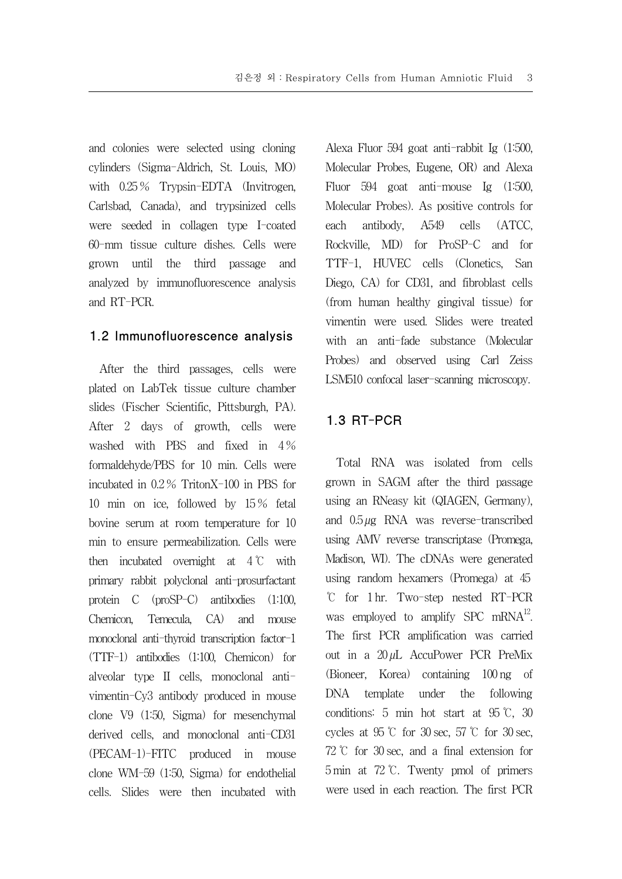and colonies were selected using cloning cylinders (Sigma-Aldrich, St. Louis, MO) with  $0.25\%$  Trypsin-EDTA (Invitrogen, Carlsbad, Canada), and trypsinized cells were seeded in collagen type I-coated 60-mm tissue culture dishes. Cells were grown until the third passage and analyzed by immunofluorescence analysis and RT-PCR.

#### 1.2 Immunofluorescence analysis

After the third passages, cells were plated on LabTek tissue culture chamber slides (Fischer Scientific, Pittsburgh, PA). After 2 days of growth, cells were washed with PBS and fixed in  $4\%$ formaldehyde/PBS for 10 min. Cells were incubated in 0.2 % TritonX-100 in PBS for 10 min on ice, followed by 15 % fetal bovine serum at room temperature for 10 min to ensure permeabilization. Cells were then incubated overnight at  $4^{\circ}$ C with primary rabbit polyclonal anti-prosurfactant protein C (proSP-C) antibodies (1:100, Chemicon, Temecula, CA) and mouse monoclonal anti-thyroid transcription factor-1 (TTF-1) antibodies (1:100, Chemicon) for alveolar type II cells, monoclonal antivimentin-Cy3 antibody produced in mouse clone V9 (1:50, Sigma) for mesenchymal derived cells, and monoclonal anti-CD31 (PECAM-1)-FITC produced in mouse clone WM-59 (1:50, Sigma) for endothelial cells. Slides were then incubated with Alexa Fluor 594 goat anti-rabbit Ig (1:500, Molecular Probes, Eugene, OR) and Alexa Fluor 594 goat anti-mouse Ig (1:500, Molecular Probes). As positive controls for each antibody, A549 cells (ATCC, Rockville, MD) for ProSP-C and for TTF-1, HUVEC cells (Clonetics, San Diego, CA) for CD31, and fibroblast cells (from human healthy gingival tissue) for vimentin were used. Slides were treated with an anti-fade substance (Molecular Probes) and observed using Carl Zeiss LSM510 confocal laser-scanning microscopy.

## 1.3 RT-PCR

Total RNA was isolated from cells grown in SAGM after the third passage using an RNeasy kit (QIAGEN, Germany), and 0.5 µg RNA was reverse-transcribed using AMV reverse transcriptase (Promega, Madison, WI). The cDNAs were generated using random hexamers (Promega) at 45 ℃ for 1 hr. Two-step nested RT-PCR was employed to amplify SPC mRNA<sup>12</sup>. The first PCR amplification was carried out in a  $20 \mu L$  AccuPower PCR PreMix (Bioneer, Korea) containing 100 ng of DNA template under the following conditions: 5 min hot start at 95 ℃, 30 cycles at 95 ℃ for 30 sec, 57 ℃ for 30 sec, 72 ℃ for 30 sec, and a final extension for 5 min at 72 ℃. Twenty pmol of primers were used in each reaction. The first PCR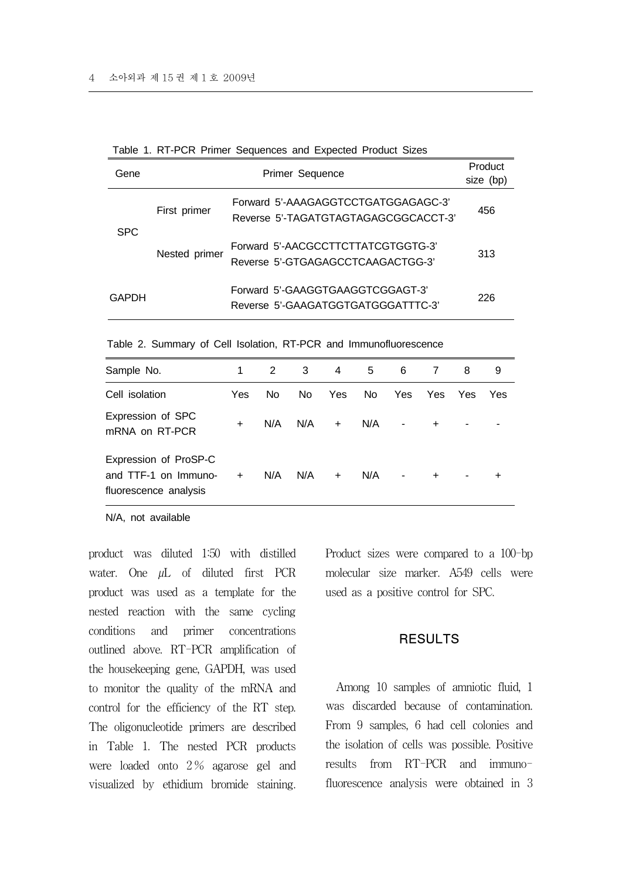| Gene         | Primer Sequence |                                                                             |     |  |  |  |
|--------------|-----------------|-----------------------------------------------------------------------------|-----|--|--|--|
| <b>SPC</b>   | First primer    | Forward 5'-AAAGAGGTCCTGATGGAGAGC-3'<br>Reverse 5'-TAGATGTAGTAGAGCGGCACCT-3' | 456 |  |  |  |
|              | Nested primer   | Forward 5'-AACGCCTTCTTATCGTGGTG-3'<br>Reverse 5'-GTGAGAGCCTCAAGACTGG-3'     | 313 |  |  |  |
| <b>GAPDH</b> |                 | Forward 5'-GAAGGTGAAGGTCGGAGT-3'<br>Reverse 5'-GAAGATGGTGATGGGATTTC-3'      | 226 |  |  |  |

Table 1. RT-PCR Primer Sequences and Expected Product Sizes

Table 2. Summary of Cell Isolation, RT-PCR and Immunofluorescence

| Sample No.                                                             | 1         | $\mathbf{2}^{\circ}$ | 3   | 4   | 5   | 6                        | 7          | 8          | 9   |
|------------------------------------------------------------------------|-----------|----------------------|-----|-----|-----|--------------------------|------------|------------|-----|
| Cell isolation                                                         | Yes       | No.                  | No. | Yes | No. | Yes                      | <b>Yes</b> | <b>Yes</b> | Yes |
| Expression of SPC<br>mRNA on RT-PCR                                    | $\ddot{}$ | N/A                  | N/A | $+$ | N/A | -                        | $\ddot{}$  |            |     |
| Expression of ProSP-C<br>and TTF-1 on Immuno-<br>fluorescence analysis | $+$       | N/A                  | N/A | $+$ | N/A | $\overline{\phantom{a}}$ | $+$        | ۰          |     |

N/A, not available

product was diluted 1:50 with distilled water. One  $\mu L$  of diluted first PCR product was used as a template for the nested reaction with the same cycling conditions and primer concentrations outlined above. RT-PCR amplification of the housekeeping gene, GAPDH, was used to monitor the quality of the mRNA and control for the efficiency of the RT step. The oligonucleotide primers are described in Table 1. The nested PCR products were loaded onto 2 % agarose gel and visualized by ethidium bromide staining. Product sizes were compared to a 100-bp molecular size marker. A549 cells were used as a positive control for SPC.

## RESULTS

Among 10 samples of amniotic fluid, 1 was discarded because of contamination. From 9 samples, 6 had cell colonies and the isolation of cells was possible. Positive results from RT-PCR and immunofluorescence analysis were obtained in 3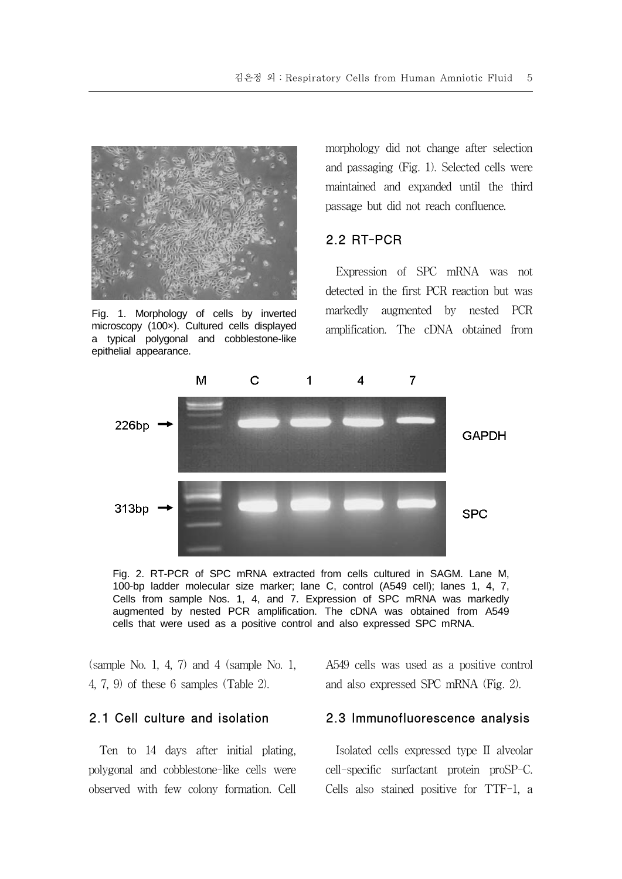

Fig. 1. Morphology of cells by inverted microscopy (100×). Cultured cells displayed a typical polygonal and cobblestone-like epithelial appearance.

morphology did not change after selection and passaging (Fig. 1). Selected cells were maintained and expanded until the third passage but did not reach confluence.

## 2.2 RT-PCR

Expression of SPC mRNA was not detected in the first PCR reaction but was markedly augmented by nested PCR amplification. The cDNA obtained from





 $\Omega$  (sample No. 1, 4, 7) and 4 (sample No. 1, 4, 7, 9) of these 6 samples (Table 2).

## 2.1 Cell culture and isolation

Ten to 14 days after initial plating, polygonal and cobblestone-like cells were observed with few colony formation. Cell A549 cells was used as a positive control and also expressed SPC mRNA (Fig. 2).

#### 2.3 Immunofluorescence analysis

Isolated cells expressed type II alveolar cell-specific surfactant protein proSP-C. Cells also stained positive for TTF-1, a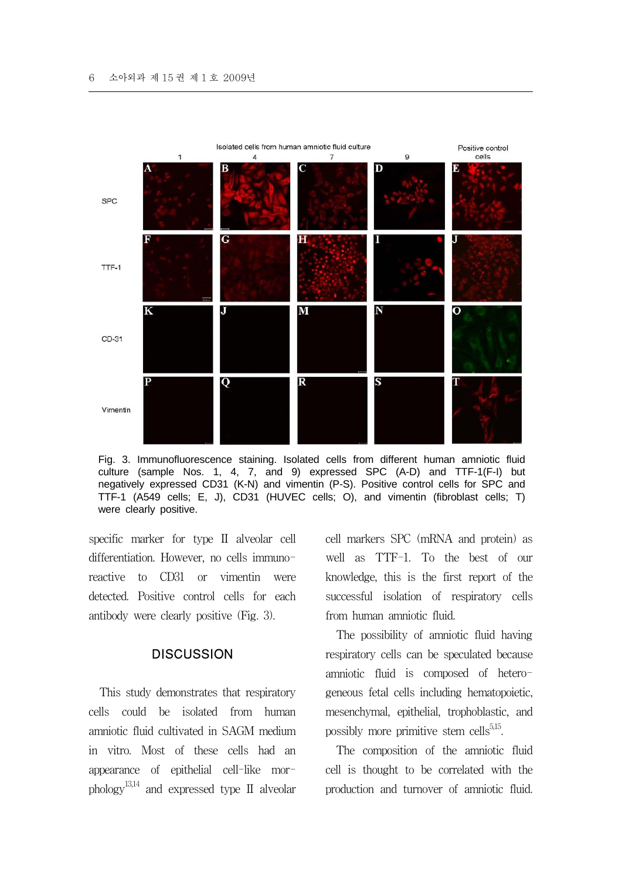

Fig. 3. Immunofluorescence staining. Isolated cells from different human amniotic fluid culture (sample Nos. 1, 4, 7, and 9) expressed SPC (A-D) and TTF-1(F-I) but negatively expressed CD31 (K-N) and vimentin (P-S). Positive control cells for SPC and TTF-1 (A549 cells; E, J), CD31 (HUVEC cells; O), and vimentin (fibroblast cells; T) were clearly positive.

specific marker for type II alveolar cell differentiation. However, no cells immunoreactive to CD31 or vimentin were detected. Positive control cells for each antibody were clearly positive (Fig. 3).

#### **DISCUSSION**

This study demonstrates that respiratory cells could be isolated from human amniotic fluid cultivated in SAGM medium in vitro. Most of these cells had an appearance of epithelial cell-like morphology<sup>13,14</sup> and expressed type II alveolar cell markers SPC (mRNA and protein) as well as TTF-1. To the best of our knowledge, this is the first report of the successful isolation of respiratory cells from human amniotic fluid.

The possibility of amniotic fluid having respiratory cells can be speculated because amniotic fluid is composed of heterogeneous fetal cells including hematopoietic, mesenchymal, epithelial, trophoblastic, and possibly more primitive stem cells $5,15$ .

The composition of the amniotic fluid cell is thought to be correlated with the production and turnover of amniotic fluid.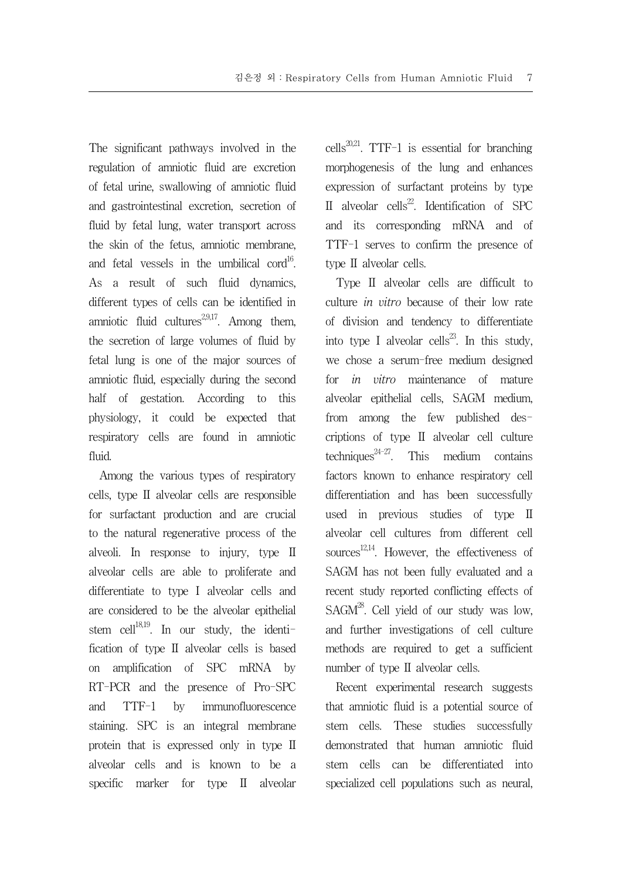The significant pathways involved in the regulation of amniotic fluid are excretion of fetal urine, swallowing of amniotic fluid and gastrointestinal excretion, secretion of fluid by fetal lung, water transport across the skin of the fetus, amniotic membrane, and fetal vessels in the umbilical cord<sup>16</sup>. As a result of such fluid dynamics, different types of cells can be identified in amniotic fluid cultures<sup>2,9,17</sup>. Among them, the secretion of large volumes of fluid by fetal lung is one of the major sources of amniotic fluid, especially during the second half of gestation. According to this physiology, it could be expected that respiratory cells are found in amniotic fluid.

Among the various types of respiratory cells, type II alveolar cells are responsible for surfactant production and are crucial to the natural regenerative process of the alveoli. In response to injury, type II alveolar cells are able to proliferate and differentiate to type I alveolar cells and are considered to be the alveolar epithelial stem cell $^{18,19}$ . In our study, the identification of type II alveolar cells is based on amplification of SPC mRNA by RT-PCR and the presence of Pro-SPC and TTF-1 by immunofluorescence staining. SPC is an integral membrane protein that is expressed only in type II alveolar cells and is known to be a specific marker for type II alveolar cells<sup>20,21</sup>. TTF-1 is essential for branching morphogenesis of the lung and enhances expression of surfactant proteins by type II alveolar cells<sup>22</sup>. Identification of SPC and its corresponding mRNA and of TTF-1 serves to confirm the presence of type II alveolar cells.

Type II alveolar cells are difficult to culture in vitro because of their low rate of division and tendency to differentiate into type I alveolar cells<sup>23</sup>. In this study, we chose a serum-free medium designed for in vitro maintenance of mature alveolar epithelial cells, SAGM medium, from among the few published descriptions of type II alveolar cell culture techniques<sup>24-27</sup>. This medium contains factors known to enhance respiratory cell differentiation and has been successfully used in previous studies of type II alveolar cell cultures from different cell sources<sup>12,14</sup>. However, the effectiveness of SAGM has not been fully evaluated and a recent study reported conflicting effects of  $SAGM^{28}$ . Cell vield of our study was low, and further investigations of cell culture methods are required to get a sufficient number of type II alveolar cells.

Recent experimental research suggests that amniotic fluid is a potential source of stem cells. These studies successfully demonstrated that human amniotic fluid stem cells can be differentiated into specialized cell populations such as neural,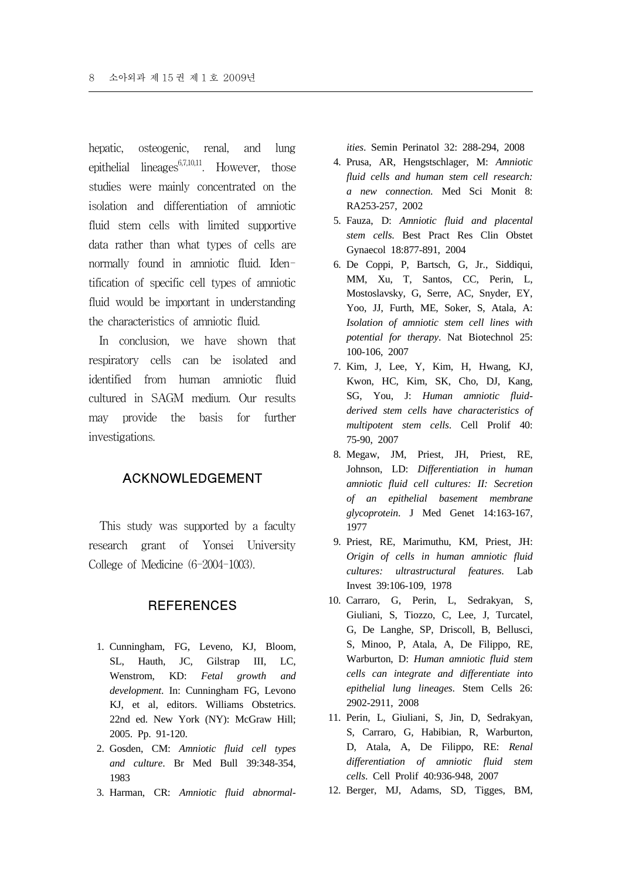hepatic, osteogenic, renal, and lung epithelial lineages $67,10,11$ . However, those studies were mainly concentrated on the isolation and differentiation of amniotic fluid stem cells with limited supportive data rather than what types of cells are normally found in amniotic fluid. Identification of specific cell types of amniotic fluid would be important in understanding the characteristics of amniotic fluid.

In conclusion, we have shown that respiratory cells can be isolated and identified from human amniotic fluid cultured in SAGM medium. Our results may provide the basis for further investigations.

#### ACKNOWLEDGEMENT

This study was supported by a faculty research grant of Yonsei University College of Medicine (6-2004-1003).

### **REFERENCES**

- 1. Cunningham, FG, Leveno, KJ, Bloom, SL, Hauth, JC, Gilstrap III, LC, Wenstrom, KD: *Fetal growth and development*. In: Cunningham FG, Levono KJ, et al, editors. Williams Obstetrics. 22nd ed. New York (NY): McGraw Hill; 2005. Pp. 91-120.
- 2. Gosden, CM: *Amniotic fluid cell types and culture*. Br Med Bull 39:348-354, 1983
- 3. Harman, CR: *Amniotic fluid abnormal-*

*ities*. Semin Perinatol 32: 288-294, 2008

- 4. Prusa, AR, Hengstschlager, M: *Amniotic fluid cells and human stem cell research: a new connection*. Med Sci Monit 8: RA253-257, 2002
- 5. Fauza, D: *Amniotic fluid and placental stem cells*. Best Pract Res Clin Obstet Gynaecol 18:877-891, 2004
- 6. De Coppi, P, Bartsch, G, Jr., Siddiqui, MM, Xu, T, Santos, CC, Perin, L, Mostoslavsky, G, Serre, AC, Snyder, EY, Yoo, JJ, Furth, ME, Soker, S, Atala, A: *Isolation of amniotic stem cell lines with potential for therapy*. Nat Biotechnol 25: 100-106, 2007
- 7. Kim, J, Lee, Y, Kim, H, Hwang, KJ, Kwon, HC, Kim, SK, Cho, DJ, Kang, SG, You, J: *Human amniotic fluidderived stem cells have characteristics of multipotent stem cells*. Cell Prolif 40: 75-90, 2007
- 8. Megaw, JM, Priest, JH, Priest, RE, Johnson, LD: *Differentiation in human amniotic fluid cell cultures: II: Secretion of an epithelial basement membrane glycoprotein*. J Med Genet 14:163-167, 1977
- 9. Priest, RE, Marimuthu, KM, Priest, JH: *Origin of cells in human amniotic fluid cultures: ultrastructural features*. Lab Invest 39:106-109, 1978
- 10. Carraro, G, Perin, L, Sedrakyan, S, Giuliani, S, Tiozzo, C, Lee, J, Turcatel, G, De Langhe, SP, Driscoll, B, Bellusci, S, Minoo, P, Atala, A, De Filippo, RE, Warburton, D: *Human amniotic fluid stem cells can integrate and differentiate into epithelial lung lineages*. Stem Cells 26: 2902-2911, 2008
- 11. Perin, L, Giuliani, S, Jin, D, Sedrakyan, S, Carraro, G, Habibian, R, Warburton, D, Atala, A, De Filippo, RE: *Renal differentiation of amniotic fluid stem cells*. Cell Prolif 40:936-948, 2007
- 12. Berger, MJ, Adams, SD, Tigges, BM,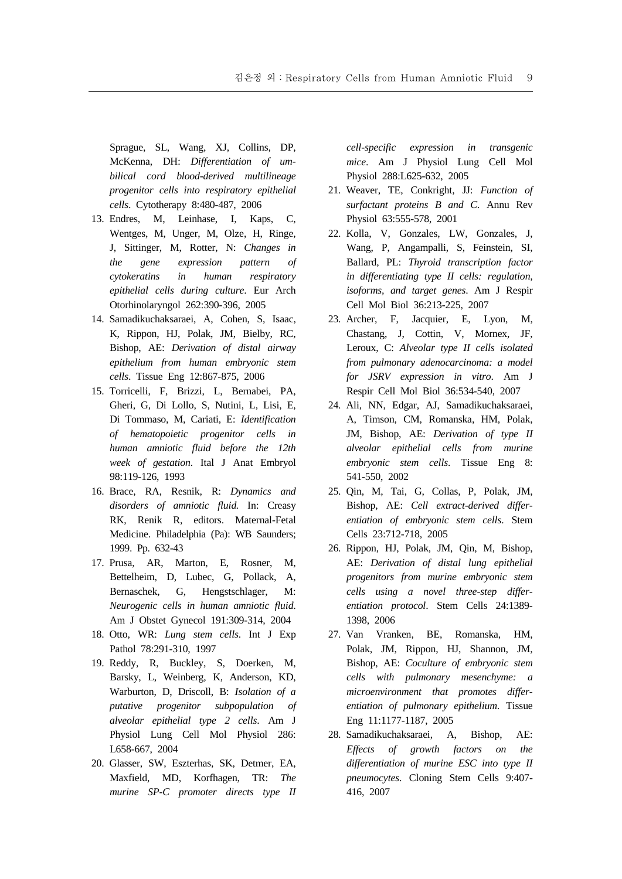Sprague, SL, Wang, XJ, Collins, DP, McKenna, DH: *Differentiation of umbilical cord blood-derived multilineage progenitor cells into respiratory epithelial cells*. Cytotherapy 8:480-487, 2006

- 13. Endres, M, Leinhase, I, Kaps, C, Wentges, M, Unger, M, Olze, H, Ringe, J, Sittinger, M, Rotter, N: *Changes in the gene expression pattern of cytokeratins in human respiratory epithelial cells during culture*. Eur Arch Otorhinolaryngol 262:390-396, 2005
- 14. Samadikuchaksaraei, A, Cohen, S, Isaac, K, Rippon, HJ, Polak, JM, Bielby, RC, Bishop, AE: *Derivation of distal airway epithelium from human embryonic stem cells*. Tissue Eng 12:867-875, 2006
- 15. Torricelli, F, Brizzi, L, Bernabei, PA, Gheri, G, Di Lollo, S, Nutini, L, Lisi, E, Di Tommaso, M, Cariati, E: *Identification of hematopoietic progenitor cells in human amniotic fluid before the 12th week of gestation*. Ital J Anat Embryol 98:119-126, 1993
- 16. Brace, RA, Resnik, R: *Dynamics and disorders of amniotic fluid.* In: Creasy RK, Renik R, editors. Maternal-Fetal Medicine. Philadelphia (Pa): WB Saunders; 1999. Pp. 632-43
- 17. Prusa, AR, Marton, E, Rosner, M, Bettelheim, D, Lubec, G, Pollack, A, Bernaschek, G, Hengstschlager, M: *Neurogenic cells in human amniotic fluid*. Am J Obstet Gynecol 191:309-314, 2004
- 18. Otto, WR: *Lung stem cells*. Int J Exp Pathol 78:291-310, 1997
- 19. Reddy, R, Buckley, S, Doerken, M, Barsky, L, Weinberg, K, Anderson, KD, Warburton, D, Driscoll, B: *Isolation of a putative progenitor subpopulation of alveolar epithelial type 2 cells*. Am J Physiol Lung Cell Mol Physiol 286: L658-667, 2004
- 20. Glasser, SW, Eszterhas, SK, Detmer, EA, Maxfield, MD, Korfhagen, TR: *The murine SP-C promoter directs type II*

*cell-specific expression in transgenic mice*. Am J Physiol Lung Cell Mol Physiol 288:L625-632, 2005

- 21. Weaver, TE, Conkright, JJ: *Function of surfactant proteins B and C*. Annu Rev Physiol 63:555-578, 2001
- 22. Kolla, V, Gonzales, LW, Gonzales, J, Wang, P, Angampalli, S, Feinstein, SI, Ballard, PL: *Thyroid transcription factor in differentiating type II cells: regulation, isoforms, and target genes*. Am J Respir Cell Mol Biol 36:213-225, 2007
- 23. Archer, F, Jacquier, E, Lyon, M, Chastang, J, Cottin, V, Mornex, JF, Leroux, C: *Alveolar type II cells isolated from pulmonary adenocarcinoma: a model for JSRV expression in vitro*. Am J Respir Cell Mol Biol 36:534-540, 2007
- 24. Ali, NN, Edgar, AJ, Samadikuchaksaraei, A, Timson, CM, Romanska, HM, Polak, JM, Bishop, AE: *Derivation of type II alveolar epithelial cells from murine embryonic stem cells*. Tissue Eng 8: 541-550, 2002
- 25. Qin, M, Tai, G, Collas, P, Polak, JM, Bishop, AE: *Cell extract-derived differentiation of embryonic stem cells*. Stem Cells 23:712-718, 2005
- 26. Rippon, HJ, Polak, JM, Qin, M, Bishop, AE: *Derivation of distal lung epithelial progenitors from murine embryonic stem cells using a novel three-step differentiation protocol*. Stem Cells 24:1389- 1398, 2006
- 27. Van Vranken, BE, Romanska, HM, Polak, JM, Rippon, HJ, Shannon, JM, Bishop, AE: *Coculture of embryonic stem cells with pulmonary mesenchyme: a microenvironment that promotes differentiation of pulmonary epithelium*. Tissue Eng 11:1177-1187, 2005
- 28. Samadikuchaksaraei, A, Bishop, AE: *Effects of growth factors on the differentiation of murine ESC into type II pneumocytes*. Cloning Stem Cells 9:407- 416, 2007